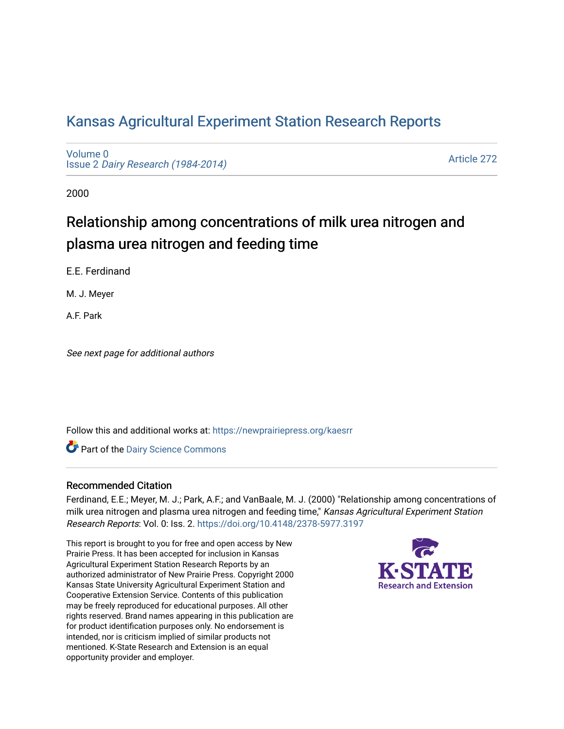# [Kansas Agricultural Experiment Station Research Reports](https://newprairiepress.org/kaesrr)

[Volume 0](https://newprairiepress.org/kaesrr/vol0) Issue 2 [Dairy Research \(1984-2014\)](https://newprairiepress.org/kaesrr/vol0/iss2) 

[Article 272](https://newprairiepress.org/kaesrr/vol0/iss2/272) 

2000

# Relationship among concentrations of milk urea nitrogen and plasma urea nitrogen and feeding time

E.E. Ferdinand

M. J. Meyer

A.F. Park

See next page for additional authors

Follow this and additional works at: [https://newprairiepress.org/kaesrr](https://newprairiepress.org/kaesrr?utm_source=newprairiepress.org%2Fkaesrr%2Fvol0%2Fiss2%2F272&utm_medium=PDF&utm_campaign=PDFCoverPages) 

Part of the [Dairy Science Commons](http://network.bepress.com/hgg/discipline/79?utm_source=newprairiepress.org%2Fkaesrr%2Fvol0%2Fiss2%2F272&utm_medium=PDF&utm_campaign=PDFCoverPages) 

# Recommended Citation

Ferdinand, E.E.; Meyer, M. J.; Park, A.F.; and VanBaale, M. J. (2000) "Relationship among concentrations of milk urea nitrogen and plasma urea nitrogen and feeding time," Kansas Agricultural Experiment Station Research Reports: Vol. 0: Iss. 2.<https://doi.org/10.4148/2378-5977.3197>

This report is brought to you for free and open access by New Prairie Press. It has been accepted for inclusion in Kansas Agricultural Experiment Station Research Reports by an authorized administrator of New Prairie Press. Copyright 2000 Kansas State University Agricultural Experiment Station and Cooperative Extension Service. Contents of this publication may be freely reproduced for educational purposes. All other rights reserved. Brand names appearing in this publication are for product identification purposes only. No endorsement is intended, nor is criticism implied of similar products not mentioned. K-State Research and Extension is an equal opportunity provider and employer.

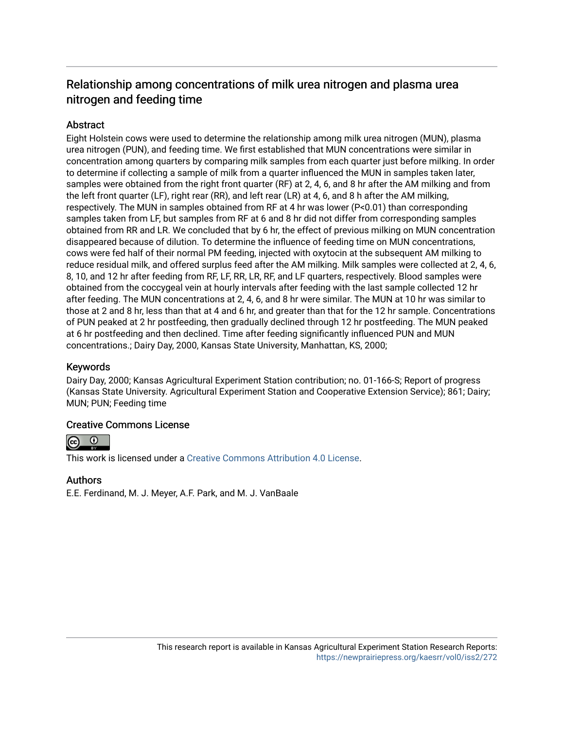# Relationship among concentrations of milk urea nitrogen and plasma urea nitrogen and feeding time

# **Abstract**

Eight Holstein cows were used to determine the relationship among milk urea nitrogen (MUN), plasma urea nitrogen (PUN), and feeding time. We first established that MUN concentrations were similar in concentration among quarters by comparing milk samples from each quarter just before milking. In order to determine if collecting a sample of milk from a quarter influenced the MUN in samples taken later, samples were obtained from the right front quarter (RF) at 2, 4, 6, and 8 hr after the AM milking and from the left front quarter (LF), right rear (RR), and left rear (LR) at 4, 6, and 8 h after the AM milking, respectively. The MUN in samples obtained from RF at 4 hr was lower (P<0.01) than corresponding samples taken from LF, but samples from RF at 6 and 8 hr did not differ from corresponding samples obtained from RR and LR. We concluded that by 6 hr, the effect of previous milking on MUN concentration disappeared because of dilution. To determine the influence of feeding time on MUN concentrations, cows were fed half of their normal PM feeding, injected with oxytocin at the subsequent AM milking to reduce residual milk, and offered surplus feed after the AM milking. Milk samples were collected at 2, 4, 6, 8, 10, and 12 hr after feeding from RF, LF, RR, LR, RF, and LF quarters, respectively. Blood samples were obtained from the coccygeal vein at hourly intervals after feeding with the last sample collected 12 hr after feeding. The MUN concentrations at 2, 4, 6, and 8 hr were similar. The MUN at 10 hr was similar to those at 2 and 8 hr, less than that at 4 and 6 hr, and greater than that for the 12 hr sample. Concentrations of PUN peaked at 2 hr postfeeding, then gradually declined through 12 hr postfeeding. The MUN peaked at 6 hr postfeeding and then declined. Time after feeding significantly influenced PUN and MUN concentrations.; Dairy Day, 2000, Kansas State University, Manhattan, KS, 2000;

# Keywords

Dairy Day, 2000; Kansas Agricultural Experiment Station contribution; no. 01-166-S; Report of progress (Kansas State University. Agricultural Experiment Station and Cooperative Extension Service); 861; Dairy; MUN; PUN; Feeding time

# Creative Commons License



This work is licensed under a [Creative Commons Attribution 4.0 License](https://creativecommons.org/licenses/by/4.0/).

# Authors

E.E. Ferdinand, M. J. Meyer, A.F. Park, and M. J. VanBaale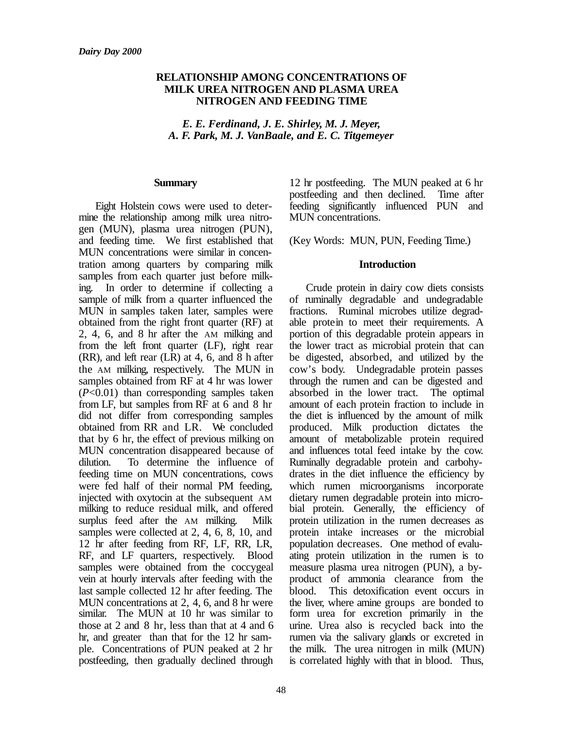#### **RELATIONSHIP AMONG CONCENTRATIONS OF MILK UREA NITROGEN AND PLASMA UREA NITROGEN AND FEEDING TIME**

*E. E. Ferdinand, J. E. Shirley, M. J. Meyer, A. F. Park, M. J. VanBaale, and E. C. Titgemeyer*

#### **Summary**

Eight Holstein cows were used to determine the relationship among milk urea nitrogen (MUN), plasma urea nitrogen (PUN), and feeding time. We first established that MUN concentrations were similar in concentration among quarters by comparing milk samples from each quarter just before milking. In order to determine if collecting a sample of milk from a quarter influenced the MUN in samples taken later, samples were obtained from the right front quarter (RF) at 2, 4, 6, and 8 hr after the AM milking and from the left front quarter (LF), right rear (RR), and left rear (LR) at 4, 6, and 8 h after the AM milking, respectively. The MUN in samples obtained from RF at 4 hr was lower (*P*<0.01) than corresponding samples taken from LF, but samples from RF at 6 and 8 hr did not differ from corresponding samples obtained from RR and LR. We concluded that by 6 hr, the effect of previous milking on MUN concentration disappeared because of dilution. To determine the influence of feeding time on MUN concentrations, cows were fed half of their normal PM feeding, injected with oxytocin at the subsequent AM milking to reduce residual milk, and offered surplus feed after the AM milking. Milk samples were collected at 2, 4, 6, 8, 10, and 12 hr after feeding from RF, LF, RR, LR, RF, and LF quarters, respectively. Blood samples were obtained from the coccygeal vein at hourly intervals after feeding with the last sample collected 12 hr after feeding. The MUN concentrations at 2, 4, 6, and 8 hr were similar. The MUN at 10 hr was similar to those at 2 and 8 hr, less than that at 4 and 6 hr, and greater than that for the 12 hr sample. Concentrations of PUN peaked at 2 hr postfeeding, then gradually declined through 12 hr postfeeding. The MUN peaked at 6 hr postfeeding and then declined. Time after feeding significantly influenced PUN and MUN concentrations.

(Key Words: MUN, PUN, Feeding Time.)

#### **Introduction**

Crude protein in dairy cow diets consists of ruminally degradable and undegradable fractions. Ruminal microbes utilize degradable protein to meet their requirements. A portion of this degradable protein appears in the lower tract as microbial protein that can be digested, absorbed, and utilized by the cow's body. Undegradable protein passes through the rumen and can be digested and absorbed in the lower tract. The optimal amount of each protein fraction to include in the diet is influenced by the amount of milk produced. Milk production dictates the amount of metabolizable protein required and influences total feed intake by the cow. Ruminally degradable protein and carbohydrates in the diet influence the efficiency by which rumen microorganisms incorporate dietary rumen degradable protein into microbial protein. Generally, the efficiency of protein utilization in the rumen decreases as protein intake increases or the microbial population decreases. One method of evaluating protein utilization in the rumen is to measure plasma urea nitrogen (PUN), a byproduct of ammonia clearance from the blood. This detoxification event occurs in the liver, where amine groups are bonded to form urea for excretion primarily in the urine. Urea also is recycled back into the rumen via the salivary glands or excreted in the milk. The urea nitrogen in milk (MUN) is correlated highly with that in blood. Thus,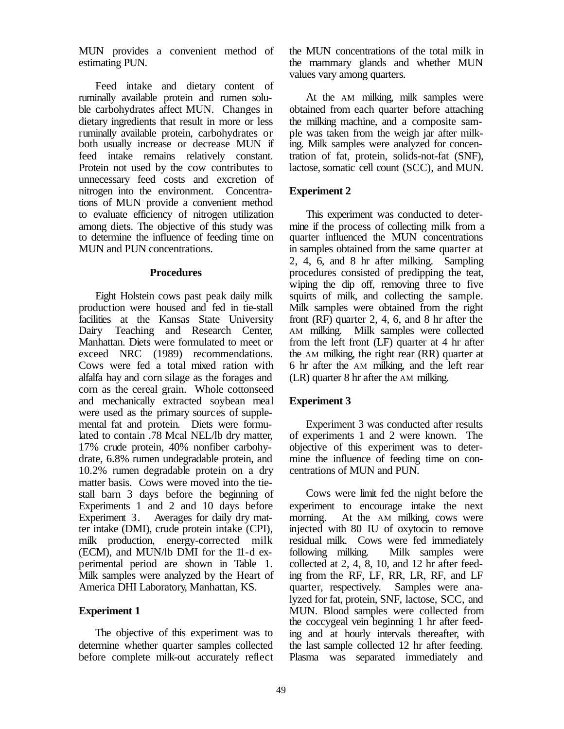MUN provides a convenient method of estimating PUN.

Feed intake and dietary content of ruminally available protein and rumen soluble carbohydrates affect MUN. Changes in dietary ingredients that result in more or less ruminally available protein, carbohydrates or both usually increase or decrease MUN if feed intake remains relatively constant. Protein not used by the cow contributes to unnecessary feed costs and excretion of nitrogen into the environment. Concentrations of MUN provide a convenient method to evaluate efficiency of nitrogen utilization among diets. The objective of this study was to determine the influence of feeding time on MUN and PUN concentrations.

#### **Procedures**

Eight Holstein cows past peak daily milk production were housed and fed in tie-stall facilities at the Kansas State University Dairy Teaching and Research Center, Manhattan. Diets were formulated to meet or exceed NRC (1989) recommendations. Cows were fed a total mixed ration with alfalfa hay and corn silage as the forages and corn as the cereal grain. Whole cottonseed and mechanically extracted soybean meal were used as the primary sources of supplemental fat and protein. Diets were formulated to contain .78 Mcal NEL/lb dry matter, 17% crude protein, 40% nonfiber carbohydrate, 6.8% rumen undegradable protein, and 10.2% rumen degradable protein on a dry matter basis. Cows were moved into the tiestall barn 3 days before the beginning of Experiments 1 and 2 and 10 days before Experiment 3. Averages for daily dry matter intake (DMI), crude protein intake (CPI), milk production, energy-corrected milk (ECM), and MUN/lb DMI for the 11-d experimental period are shown in Table 1. Milk samples were analyzed by the Heart of America DHI Laboratory, Manhattan, KS.

#### **Experiment 1**

The objective of this experiment was to determine whether quarter samples collected before complete milk-out accurately reflect the MUN concentrations of the total milk in the mammary glands and whether MUN values vary among quarters.

At the AM milking, milk samples were obtained from each quarter before attaching the milking machine, and a composite sample was taken from the weigh jar after milking. Milk samples were analyzed for concentration of fat, protein, solids-not-fat (SNF), lactose, somatic cell count (SCC), and MUN.

# **Experiment 2**

This experiment was conducted to determine if the process of collecting milk from a quarter influenced the MUN concentrations in samples obtained from the same quarter at 2, 4, 6, and 8 hr after milking. Sampling procedures consisted of predipping the teat, wiping the dip off, removing three to five squirts of milk, and collecting the sample. Milk samples were obtained from the right front (RF) quarter 2, 4, 6, and 8 hr after the AM milking. Milk samples were collected from the left front (LF) quarter at 4 hr after the AM milking, the right rear (RR) quarter at 6 hr after the AM milking, and the left rear (LR) quarter 8 hr after the AM milking.

# **Experiment 3**

Experiment 3 was conducted after results of experiments 1 and 2 were known. The objective of this experiment was to determine the influence of feeding time on concentrations of MUN and PUN.

Cows were limit fed the night before the experiment to encourage intake the next morning. At the AM milking, cows were injected with 80 IU of oxytocin to remove residual milk. Cows were fed immediately following milking. Milk samples were collected at 2, 4, 8, 10, and 12 hr after feeding from the RF, LF, RR, LR, RF, and LF quarter, respectively. Samples were analyzed for fat, protein, SNF, lactose, SCC, and MUN. Blood samples were collected from the coccygeal vein beginning 1 hr after feeding and at hourly intervals thereafter, with the last sample collected 12 hr after feeding. Plasma was separated immediately and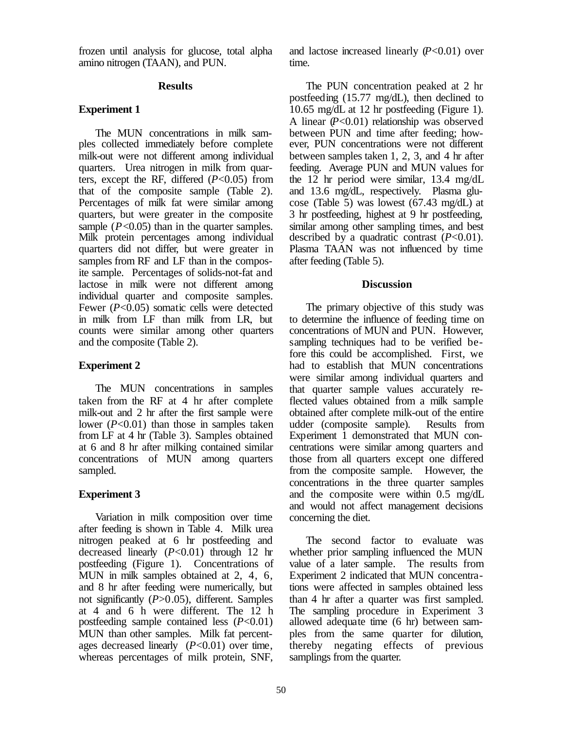frozen until analysis for glucose, total alpha amino nitrogen (TAAN), and PUN.

#### **Results**

### **Experiment 1**

The MUN concentrations in milk samples collected immediately before complete milk-out were not different among individual quarters. Urea nitrogen in milk from quarters, except the RF, differed (*P*<0.05) from that of the composite sample (Table 2). Percentages of milk fat were similar among quarters, but were greater in the composite sample  $(P<0.05)$  than in the quarter samples. Milk protein percentages among individual quarters did not differ, but were greater in samples from RF and LF than in the composite sample. Percentages of solids-not-fat and lactose in milk were not different among individual quarter and composite samples. Fewer (*P*<0.05) somatic cells were detected in milk from LF than milk from LR, but counts were similar among other quarters and the composite (Table 2).

# **Experiment 2**

The MUN concentrations in samples taken from the RF at 4 hr after complete milk-out and 2 hr after the first sample were lower (*P*<0.01) than those in samples taken from LF at 4 hr (Table 3). Samples obtained at 6 and 8 hr after milking contained similar concentrations of MUN among quarters sampled.

# **Experiment 3**

Variation in milk composition over time after feeding is shown in Table 4. Milk urea nitrogen peaked at 6 hr postfeeding and decreased linearly (*P*<0.01) through 12 hr postfeeding (Figure 1). Concentrations of MUN in milk samples obtained at 2, 4, 6, and 8 hr after feeding were numerically, but not significantly (*P*>0.05), different. Samples at 4 and 6 h were different. The 12 h postfeeding sample contained less (*P*<0.01) MUN than other samples. Milk fat percentages decreased linearly (*P*<0.01) over time, whereas percentages of milk protein, SNF,

and lactose increased linearly (*P*<0.01) over time.

The PUN concentration peaked at 2 hr postfeeding (15.77 mg/dL), then declined to 10.65 mg/dL at 12 hr postfeeding (Figure 1). A linear (*P*<0.01) relationship was observed between PUN and time after feeding; however, PUN concentrations were not different between samples taken 1, 2, 3, and 4 hr after feeding. Average PUN and MUN values for the 12 hr period were similar, 13.4 mg/dL and 13.6 mg/dL, respectively. Plasma glucose (Table 5) was lowest (67.43 mg/dL) at 3 hr postfeeding, highest at 9 hr postfeeding, similar among other sampling times, and best described by a quadratic contrast (*P*<0.01). Plasma TAAN was not influenced by time after feeding (Table 5).

#### **Discussion**

The primary objective of this study was to determine the influence of feeding time on concentrations of MUN and PUN. However, sampling techniques had to be verified before this could be accomplished. First, we had to establish that MUN concentrations were similar among individual quarters and that quarter sample values accurately reflected values obtained from a milk sample obtained after complete milk-out of the entire udder (composite sample). Results from Experiment 1 demonstrated that MUN concentrations were similar among quarters and those from all quarters except one differed from the composite sample. However, the concentrations in the three quarter samples and the composite were within 0.5 mg/dL and would not affect management decisions concerning the diet.

The second factor to evaluate was whether prior sampling influenced the MUN value of a later sample. The results from Experiment 2 indicated that MUN concentrations were affected in samples obtained less than 4 hr after a quarter was first sampled. The sampling procedure in Experiment 3 allowed adequate time (6 hr) between samples from the same quarter for dilution, thereby negating effects of previous samplings from the quarter.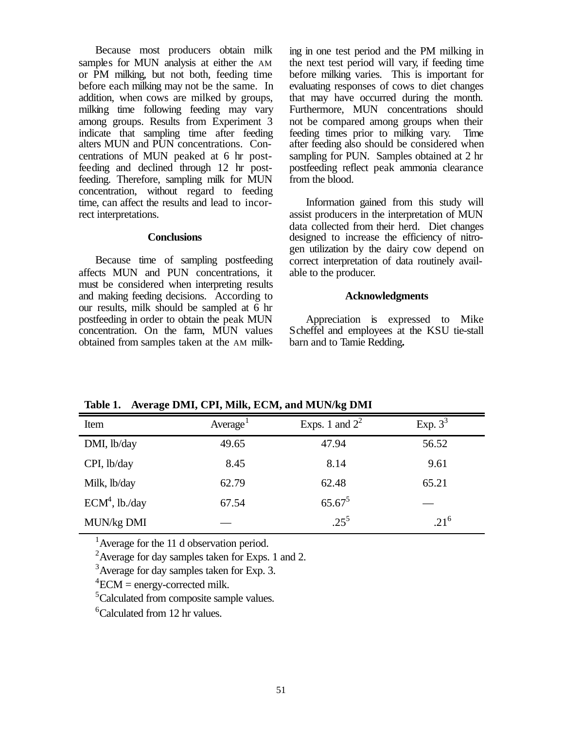Because most producers obtain milk samples for MUN analysis at either the AM or PM milking, but not both, feeding time before each milking may not be the same. In addition, when cows are milked by groups, milking time following feeding may vary among groups. Results from Experiment 3 indicate that sampling time after feeding alters MUN and PUN concentrations. Concentrations of MUN peaked at 6 hr postfeeding and declined through 12 hr postfeeding. Therefore, sampling milk for MUN concentration, without regard to feeding time, can affect the results and lead to incorrect interpretations.

#### **Conclusions**

Because time of sampling postfeeding affects MUN and PUN concentrations, it must be considered when interpreting results and making feeding decisions. According to our results, milk should be sampled at 6 hr postfeeding in order to obtain the peak MUN concentration. On the farm, MUN values obtained from samples taken at the AM milking in one test period and the PM milking in the next test period will vary, if feeding time before milking varies. This is important for evaluating responses of cows to diet changes that may have occurred during the month. Furthermore, MUN concentrations should not be compared among groups when their feeding times prior to milking vary. Time after feeding also should be considered when sampling for PUN. Samples obtained at 2 hr postfeeding reflect peak ammonia clearance from the blood.

Information gained from this study will assist producers in the interpretation of MUN data collected from their herd. Diet changes designed to increase the efficiency of nitrogen utilization by the dairy cow depend on correct interpretation of data routinely available to the producer.

#### **Acknowledgments**

Appreciation is expressed to Mike Scheffel and employees at the KSU tie-stall barn and to Tamie Redding**.** 

| Item             | Average <sup>1</sup> | Exps. 1 and $2^2$ | Exp. $3^3$ |  |
|------------------|----------------------|-------------------|------------|--|
| DMI, lb/day      | 49.65                | 47.94             | 56.52      |  |
| CPI, lb/day      | 8.45                 | 8.14              | 9.61       |  |
| Milk, lb/day     | 62.79                | 62.48             | 65.21      |  |
| $ECM4$ , lb./day | 67.54                | $65.67^5$         |            |  |
| MUN/kg DMI       |                      | $.25^{5}$         | $21^6$     |  |

**Table 1. Average DMI, CPI, Milk, ECM, and MUN/kg DMI**

<sup>1</sup> Average for the 11 d observation period.

<sup>2</sup> Average for day samples taken for Exps. 1 and 2.

<sup>3</sup> Average for day samples taken for Exp. 3.

 ${}^{4}$ ECM = energy-corrected milk.

<sup>5</sup>Calculated from composite sample values.

 ${}^{6}$ Calculated from 12 hr values.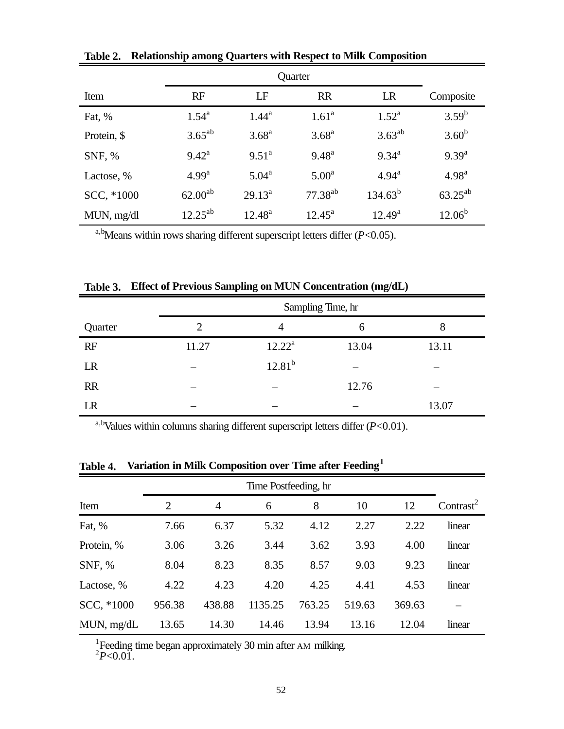| Item        | RF             | LF                | <b>RR</b>         | LR              | Composite         |
|-------------|----------------|-------------------|-------------------|-----------------|-------------------|
| Fat, %      | $1.54^{\rm a}$ | $1.44^{\rm a}$    | 1.61 <sup>a</sup> | $1.52^{\rm a}$  | $3.59^{b}$        |
| Protein, \$ | $3.65^{ab}$    | 3.68 <sup>a</sup> | $3.68^{\rm a}$    | $3.63^{ab}$     | $3.60^{b}$        |
| SNF, %      | $9.42^{\rm a}$ | $9.51^{\text{a}}$ | $9.48^{\rm a}$    | $9.34^{\rm a}$  | $9.39^{a}$        |
| Lactose, %  | $4.99^{\rm a}$ | $5.04^{\rm a}$    | $5.00^{\rm a}$    | $4.94^{\rm a}$  | 4.98 <sup>a</sup> |
| SCC, *1000  | $62.00^{ab}$   | $29.13^a$         | $77.38^{ab}$      | $134.63^b$      | $63.25^{ab}$      |
| MUN, mg/dl  | $12.25^{ab}$   | $12.48^{\rm a}$   | $12.45^{\rm a}$   | $12.49^{\rm a}$ | $12.06^b$         |

**Table 2. Relationship among Quarters with Respect to Milk Composition**

a,bMeans within rows sharing different superscript letters differ (*P*<0.05).

|  |  |  | Table 3. Effect of Previous Sampling on MUN Concentration (mg/dL) |
|--|--|--|-------------------------------------------------------------------|
|--|--|--|-------------------------------------------------------------------|

|           | Sampling Time, hr |                |       |       |  |
|-----------|-------------------|----------------|-------|-------|--|
| Quarter   | $\overline{2}$    | $\overline{4}$ | 6     | 8     |  |
| RF        | 11.27             | $12.22^a$      | 13.04 | 13.11 |  |
| LR        |                   | $12.81^{b}$    |       |       |  |
| <b>RR</b> |                   |                | 12.76 |       |  |
| LR        |                   |                |       | 13.07 |  |

a,b<sub>V</sub>alues within columns sharing different superscript letters differ  $(P<0.01)$ .

|            | Time Postfeeding, hr |                |         |        |        |        |                       |
|------------|----------------------|----------------|---------|--------|--------|--------|-----------------------|
| Item       | $\overline{2}$       | $\overline{4}$ | 6       | 8      | 10     | 12     | Contrast <sup>2</sup> |
| Fat, %     | 7.66                 | 6.37           | 5.32    | 4.12   | 2.27   | 2.22   | linear                |
| Protein, % | 3.06                 | 3.26           | 3.44    | 3.62   | 3.93   | 4.00   | linear                |
| SNF, %     | 8.04                 | 8.23           | 8.35    | 8.57   | 9.03   | 9.23   | linear                |
| Lactose, % | 4.22                 | 4.23           | 4.20    | 4.25   | 4.41   | 4.53   | linear                |
| SCC, *1000 | 956.38               | 438.88         | 1135.25 | 763.25 | 519.63 | 369.63 |                       |
| MUN, mg/dL | 13.65                | 14.30          | 14.46   | 13.94  | 13.16  | 12.04  | linear                |

**Table 4. Variation in Milk Composition over Time after Feeding<sup>1</sup>**

<sup>1</sup> Feeding time began approximately 30 min after AM milking.<br><sup>2</sup>P<0.01.